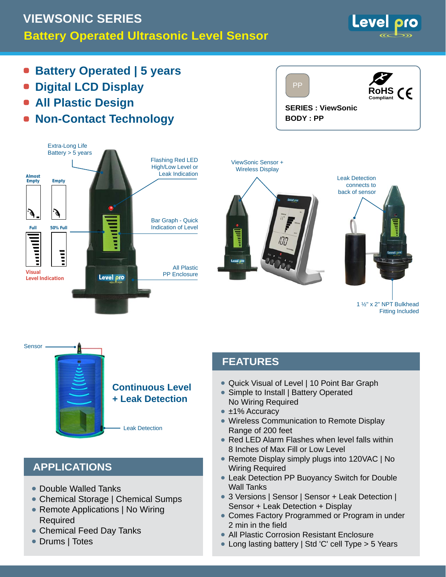# **Battery Operated Ultrasonic Level Sensor VIEWSONIC SERIES**



- **Battery Operated | 5 years**
- **Digital LCD Display**
- **All Plastic Design**
- **Non-Contact Technology**







```
1 ½" x 2" NPT Bulkhead
Fitting Included
```


## **APPLICATIONS**

- Double Walled Tanks •
- Chemical Storage | Chemical Sumps
- Remote Applications | No Wiring Required
- Chemical Feed Day Tanks •
- Drums | Totes

## **FEATURES**

- Quick Visual of Level | 10 Point Bar Graph •
- Simple to Install | Battery Operated No Wiring Required
- ±1% Accuracy
- Wireless Communication to Remote Display Range of 200 feet
- Red LED Alarm Flashes when level falls within 8 Inches of Max Fill or Low Level
- Remote Display simply plugs into 120VAC | No Wiring Required
- Leak Detection PP Buoyancy Switch for Double Wall Tanks
- 3 Versions | Sensor | Sensor + Leak Detection | Sensor + Leak Detection + Display
- Comes Factory Programmed or Program in under 2 min in the field
- All Plastic Corrosion Resistant Enclosure •
- Long lasting battery | Std 'C' cell Type > 5 Years